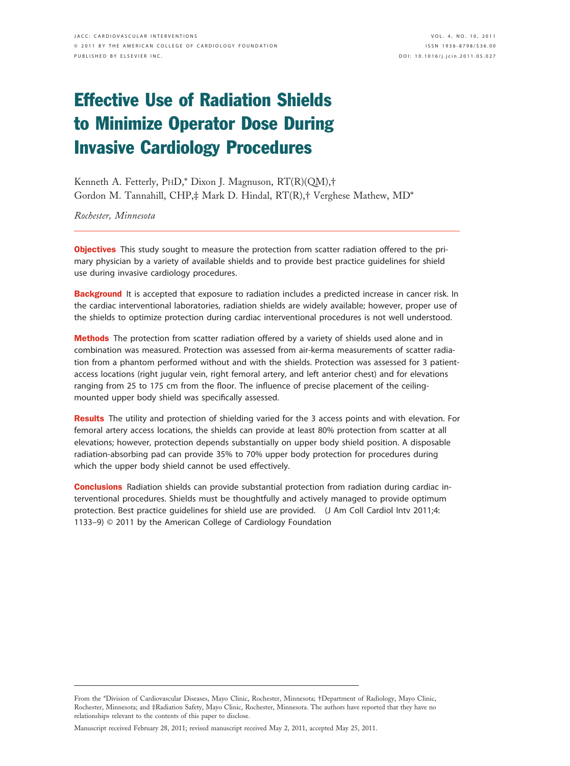# Effective Use of Radiation Shields to Minimize Operator Dose During Invasive Cardiology Procedures

Kenneth A. Fetterly, PHD,\* Dixon J. Magnuson, RT(R)(QM),† Gordon M. Tannahill, CHP,‡ Mark D. Hindal, RT(R),† Verghese Mathew, MD\*

*Rochester, Minnesota*

**Objectives** This study sought to measure the protection from scatter radiation offered to the primary physician by a variety of available shields and to provide best practice guidelines for shield use during invasive cardiology procedures.

**Background** It is accepted that exposure to radiation includes a predicted increase in cancer risk. In the cardiac interventional laboratories, radiation shields are widely available; however, proper use of the shields to optimize protection during cardiac interventional procedures is not well understood.

Methods The protection from scatter radiation offered by a variety of shields used alone and in combination was measured. Protection was assessed from air-kerma measurements of scatter radiation from a phantom performed without and with the shields. Protection was assessed for 3 patientaccess locations (right jugular vein, right femoral artery, and left anterior chest) and for elevations ranging from 25 to 175 cm from the floor. The influence of precise placement of the ceilingmounted upper body shield was specifically assessed.

**Results** The utility and protection of shielding varied for the 3 access points and with elevation. For femoral artery access locations, the shields can provide at least 80% protection from scatter at all elevations; however, protection depends substantially on upper body shield position. A disposable radiation-absorbing pad can provide 35% to 70% upper body protection for procedures during which the upper body shield cannot be used effectively.

**Conclusions** Radiation shields can provide substantial protection from radiation during cardiac interventional procedures. Shields must be thoughtfully and actively managed to provide optimum protection. Best practice guidelines for shield use are provided. (J Am Coll Cardiol Intv 2011;4: 1133–9) © 2011 by the American College of Cardiology Foundation

From the \*Division of Cardiovascular Diseases, Mayo Clinic, Rochester, Minnesota; †Department of Radiology, Mayo Clinic, Rochester, Minnesota; and ‡Radiation Safety, Mayo Clinic, Rochester, Minnesota. The authors have reported that they have no relationships relevant to the contents of this paper to disclose.

Manuscript received February 28, 2011; revised manuscript received May 2, 2011, accepted May 25, 2011.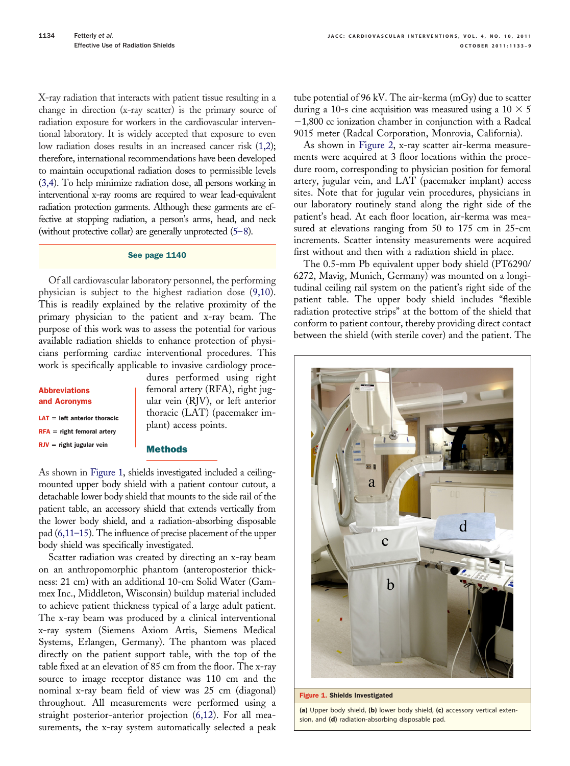X-ray radiation that interacts with patient tissue resulting in a change in direction (x-ray scatter) is the primary source of radiation exposure for workers in the cardiovascular interventional laboratory. It is widely accepted that exposure to even low radiation doses results in an increased cancer risk (1,2); therefore, international recommendations have been developed to maintain occupational radiation doses to permissible levels (3,4). To help minimize radiation dose, all persons working in interventional x-ray rooms are required to wear lead-equivalent radiation protection garments. Although these garments are effective at stopping radiation, a person's arms, head, and neck (without protective collar) are generally unprotected (5–8).

#### See page 1140

Of all cardiovascular laboratory personnel, the performing physician is subject to the highest radiation dose (9,10). This is readily explained by the relative proximity of the primary physician to the patient and x-ray beam. The purpose of this work was to assess the potential for various available radiation shields to enhance protection of physicians performing cardiac interventional procedures. This work is specifically applicable to invasive cardiology proce-

#### Abbreviations and Acronyms

 $LAT = left$  anterior thoracic  $RFA = right$  femoral artery  $RJV =$  right jugular vein

dures performed using right femoral artery (RFA), right jugular vein (RJV), or left anterior thoracic (LAT) (pacemaker implant) access points.

## **Methods**

As shown in Figure 1, shields investigated included a ceilingmounted upper body shield with a patient contour cutout, a detachable lower body shield that mounts to the side rail of the patient table, an accessory shield that extends vertically from the lower body shield, and a radiation-absorbing disposable pad (6,11–15). The influence of precise placement of the upper body shield was specifically investigated.

Scatter radiation was created by directing an x-ray beam on an anthropomorphic phantom (anteroposterior thickness: 21 cm) with an additional 10-cm Solid Water (Gammex Inc., Middleton, Wisconsin) buildup material included to achieve patient thickness typical of a large adult patient. The x-ray beam was produced by a clinical interventional x-ray system (Siemens Axiom Artis, Siemens Medical Systems, Erlangen, Germany). The phantom was placed directly on the patient support table, with the top of the table fixed at an elevation of 85 cm from the floor. The x-ray source to image receptor distance was 110 cm and the nominal x-ray beam field of view was 25 cm (diagonal) throughout. All measurements were performed using a straight posterior-anterior projection (6,12). For all measurements, the x-ray system automatically selected a peak

tube potential of 96 kV. The air-kerma (mGy) due to scatter during a 10-s cine acquisition was measured using a  $10 \times 5$ -1,800 cc ionization chamber in conjunction with a Radcal 9015 meter (Radcal Corporation, Monrovia, California).

As shown in Figure 2, x-ray scatter air-kerma measurements were acquired at 3 floor locations within the procedure room, corresponding to physician position for femoral artery, jugular vein, and LAT (pacemaker implant) access sites. Note that for jugular vein procedures, physicians in our laboratory routinely stand along the right side of the patient's head. At each floor location, air-kerma was measured at elevations ranging from 50 to 175 cm in 25-cm increments. Scatter intensity measurements were acquired first without and then with a radiation shield in place.

The 0.5-mm Pb equivalent upper body shield (PT6290/ 6272, Mavig, Munich, Germany) was mounted on a longitudinal ceiling rail system on the patient's right side of the patient table. The upper body shield includes "flexible radiation protective strips" at the bottom of the shield that conform to patient contour, thereby providing direct contact between the shield (with sterile cover) and the patient. The



Figure 1. Shields Investigated

**(a)** Upper body shield, **(b)** lower body shield, **(c)** accessory vertical extension, and **(d)** radiation-absorbing disposable pad.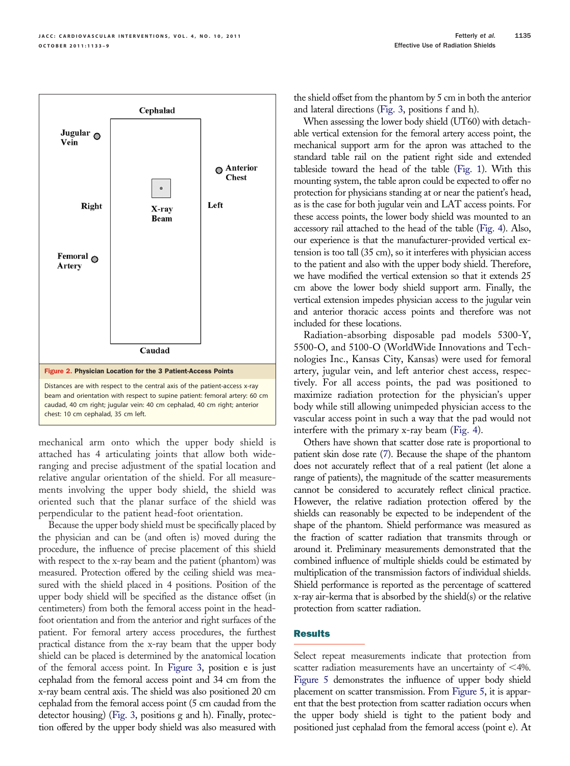

mechanical arm onto which the upper body shield is attached has 4 articulating joints that allow both wideranging and precise adjustment of the spatial location and relative angular orientation of the shield. For all measurements involving the upper body shield, the shield was oriented such that the planar surface of the shield was perpendicular to the patient head-foot orientation.

Because the upper body shield must be specifically placed by the physician and can be (and often is) moved during the procedure, the influence of precise placement of this shield with respect to the x-ray beam and the patient (phantom) was measured. Protection offered by the ceiling shield was measured with the shield placed in 4 positions. Position of the upper body shield will be specified as the distance offset (in centimeters) from both the femoral access point in the headfoot orientation and from the anterior and right surfaces of the patient. For femoral artery access procedures, the furthest practical distance from the x-ray beam that the upper body shield can be placed is determined by the anatomical location of the femoral access point. In Figure 3, position e is just cephalad from the femoral access point and 34 cm from the x-ray beam central axis. The shield was also positioned 20 cm cephalad from the femoral access point (5 cm caudad from the detector housing) (Fig. 3, positions g and h). Finally, protection offered by the upper body shield was also measured with

the shield offset from the phantom by 5 cm in both the anterior and lateral directions (Fig. 3, positions f and h).

When assessing the lower body shield (UT60) with detachable vertical extension for the femoral artery access point, the mechanical support arm for the apron was attached to the standard table rail on the patient right side and extended tableside toward the head of the table (Fig. 1). With this mounting system, the table apron could be expected to offer no protection for physicians standing at or near the patient's head, as is the case for both jugular vein and LAT access points. For these access points, the lower body shield was mounted to an accessory rail attached to the head of the table (Fig. 4). Also, our experience is that the manufacturer-provided vertical extension is too tall (35 cm), so it interferes with physician access to the patient and also with the upper body shield. Therefore, we have modified the vertical extension so that it extends 25 cm above the lower body shield support arm. Finally, the vertical extension impedes physician access to the jugular vein and anterior thoracic access points and therefore was not included for these locations.

Radiation-absorbing disposable pad models 5300-Y, 5500-O, and 5100-O (WorldWide Innovations and Technologies Inc., Kansas City, Kansas) were used for femoral artery, jugular vein, and left anterior chest access, respectively. For all access points, the pad was positioned to maximize radiation protection for the physician's upper body while still allowing unimpeded physician access to the vascular access point in such a way that the pad would not interfere with the primary x-ray beam (Fig. 4).

Others have shown that scatter dose rate is proportional to patient skin dose rate (7). Because the shape of the phantom does not accurately reflect that of a real patient (let alone a range of patients), the magnitude of the scatter measurements cannot be considered to accurately reflect clinical practice. However, the relative radiation protection offered by the shields can reasonably be expected to be independent of the shape of the phantom. Shield performance was measured as the fraction of scatter radiation that transmits through or around it. Preliminary measurements demonstrated that the combined influence of multiple shields could be estimated by multiplication of the transmission factors of individual shields. Shield performance is reported as the percentage of scattered x-ray air-kerma that is absorbed by the shield(s) or the relative protection from scatter radiation.

#### **Results**

Select repeat measurements indicate that protection from scatter radiation measurements have an uncertainty of  $\leq 4\%$ . Figure 5 demonstrates the influence of upper body shield placement on scatter transmission. From Figure 5, it is apparent that the best protection from scatter radiation occurs when the upper body shield is tight to the patient body and positioned just cephalad from the femoral access (point e). At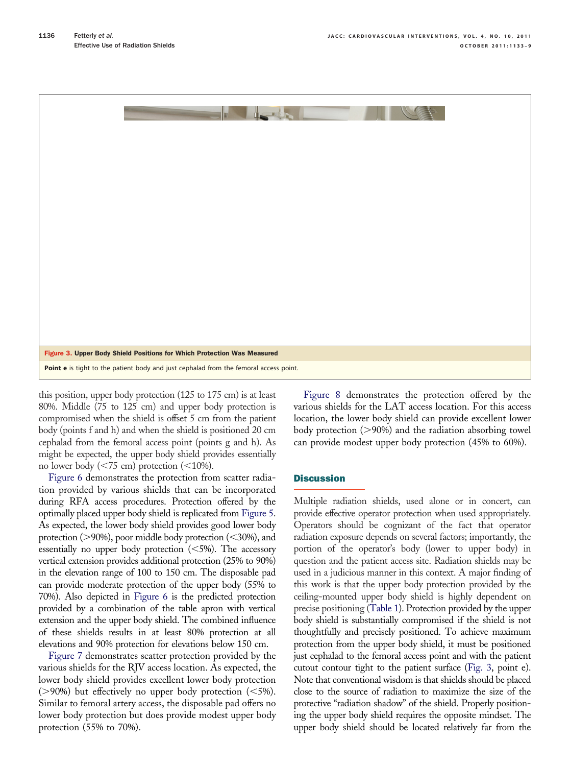Figure 3. Upper Body Shield Positions for Which Protection Was Measured Point e is tight to the patient body and just cephalad from the femoral access point.

this position, upper body protection (125 to 175 cm) is at least 80%. Middle (75 to 125 cm) and upper body protection is compromised when the shield is offset 5 cm from the patient body (points f and h) and when the shield is positioned 20 cm cephalad from the femoral access point (points g and h). As might be expected, the upper body shield provides essentially no lower body ( $\leq$ 75 cm) protection ( $\leq$ 10%).

Figure 6 demonstrates the protection from scatter radiation provided by various shields that can be incorporated during RFA access procedures. Protection offered by the optimally placed upper body shield is replicated from Figure 5. As expected, the lower body shield provides good lower body protection (>90%), poor middle body protection (<30%), and essentially no upper body protection  $(<5\%)$ . The accessory vertical extension provides additional protection (25% to 90%) in the elevation range of 100 to 150 cm. The disposable pad can provide moderate protection of the upper body (55% to 70%). Also depicted in Figure 6 is the predicted protection provided by a combination of the table apron with vertical extension and the upper body shield. The combined influence of these shields results in at least 80% protection at all elevations and 90% protection for elevations below 150 cm.

Figure 7 demonstrates scatter protection provided by the various shields for the RJV access location. As expected, the lower body shield provides excellent lower body protection  $(>90%)$  but effectively no upper body protection  $(<5%)$ . Similar to femoral artery access, the disposable pad offers no lower body protection but does provide modest upper body protection (55% to 70%).

Figure 8 demonstrates the protection offered by the various shields for the LAT access location. For this access location, the lower body shield can provide excellent lower body protection  $(>90%)$  and the radiation absorbing towel can provide modest upper body protection (45% to 60%).

### **Discussion**

Multiple radiation shields, used alone or in concert, can provide effective operator protection when used appropriately. Operators should be cognizant of the fact that operator radiation exposure depends on several factors; importantly, the portion of the operator's body (lower to upper body) in question and the patient access site. Radiation shields may be used in a judicious manner in this context. A major finding of this work is that the upper body protection provided by the ceiling-mounted upper body shield is highly dependent on precise positioning (Table 1). Protection provided by the upper body shield is substantially compromised if the shield is not thoughtfully and precisely positioned. To achieve maximum protection from the upper body shield, it must be positioned just cephalad to the femoral access point and with the patient cutout contour tight to the patient surface (Fig. 3, point e). Note that conventional wisdom is that shields should be placed close to the source of radiation to maximize the size of the protective "radiation shadow" of the shield. Properly positioning the upper body shield requires the opposite mindset. The upper body shield should be located relatively far from the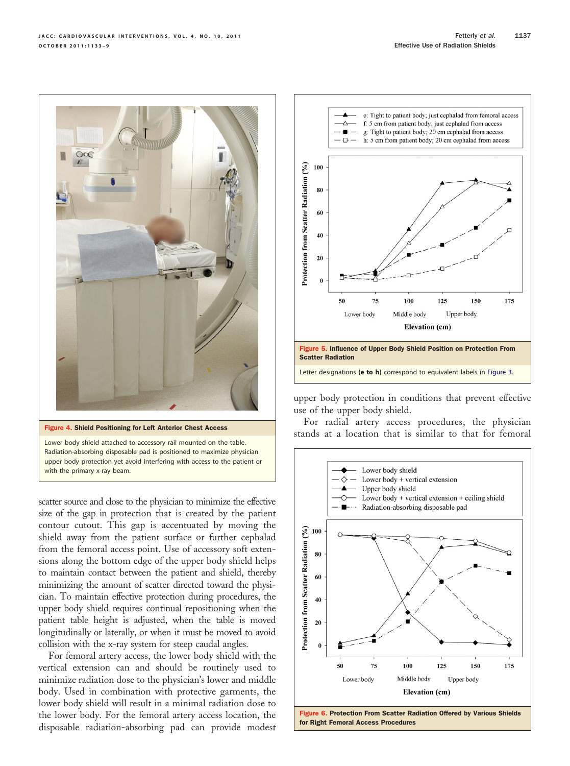

Lower body shield attached to accessory rail mounted on the table. Radiation-absorbing disposable pad is positioned to maximize physician upper body protection yet avoid interfering with access to the patient or with the primary x-ray beam.

scatter source and close to the physician to minimize the effective size of the gap in protection that is created by the patient contour cutout. This gap is accentuated by moving the shield away from the patient surface or further cephalad from the femoral access point. Use of accessory soft extensions along the bottom edge of the upper body shield helps to maintain contact between the patient and shield, thereby minimizing the amount of scatter directed toward the physician. To maintain effective protection during procedures, the upper body shield requires continual repositioning when the patient table height is adjusted, when the table is moved longitudinally or laterally, or when it must be moved to avoid collision with the x-ray system for steep caudal angles.

For femoral artery access, the lower body shield with the vertical extension can and should be routinely used to minimize radiation dose to the physician's lower and middle body. Used in combination with protective garments, the lower body shield will result in a minimal radiation dose to the lower body. For the femoral artery access location, the disposable radiation-absorbing pad can provide modest



upper body protection in conditions that prevent effective use of the upper body shield.

For radial artery access procedures, the physician Figure 4. Shield Positioning for Left Anterior Chest Access<br>stands at a location that is similar to that for femoral



Figure 6. Protection From Scatter Radiation Offered by Various Shields for Right Femoral Access Procedures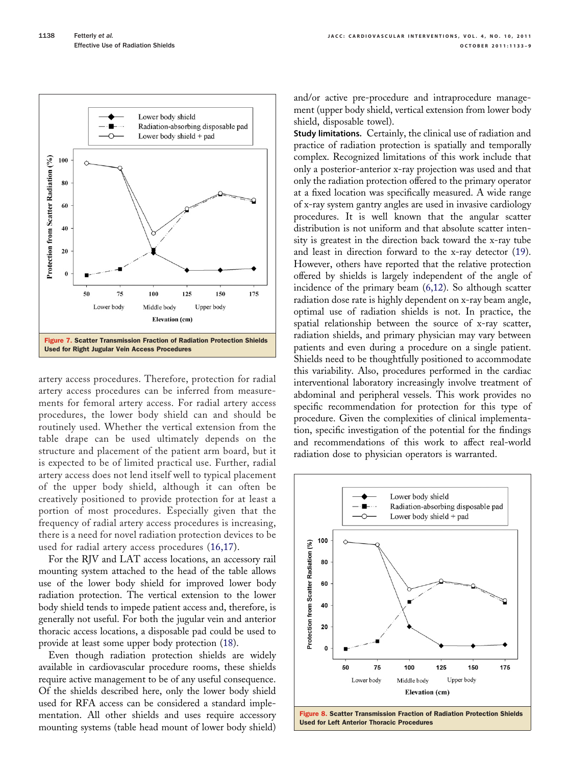

artery access procedures. Therefore, protection for radial artery access procedures can be inferred from measurements for femoral artery access. For radial artery access procedures, the lower body shield can and should be routinely used. Whether the vertical extension from the table drape can be used ultimately depends on the structure and placement of the patient arm board, but it is expected to be of limited practical use. Further, radial artery access does not lend itself well to typical placement of the upper body shield, although it can often be creatively positioned to provide protection for at least a portion of most procedures. Especially given that the frequency of radial artery access procedures is increasing, there is a need for novel radiation protection devices to be used for radial artery access procedures (16,17).

For the RJV and LAT access locations, an accessory rail mounting system attached to the head of the table allows use of the lower body shield for improved lower body radiation protection. The vertical extension to the lower body shield tends to impede patient access and, therefore, is generally not useful. For both the jugular vein and anterior thoracic access locations, a disposable pad could be used to provide at least some upper body protection (18).

Even though radiation protection shields are widely available in cardiovascular procedure rooms, these shields require active management to be of any useful consequence. Of the shields described here, only the lower body shield used for RFA access can be considered a standard implementation. All other shields and uses require accessory mounting systems (table head mount of lower body shield) and/or active pre-procedure and intraprocedure management (upper body shield, vertical extension from lower body shield, disposable towel).

**Study limitations.** Certainly, the clinical use of radiation and practice of radiation protection is spatially and temporally complex. Recognized limitations of this work include that only a posterior-anterior x-ray projection was used and that only the radiation protection offered to the primary operator at a fixed location was specifically measured. A wide range of x-ray system gantry angles are used in invasive cardiology procedures. It is well known that the angular scatter distribution is not uniform and that absolute scatter intensity is greatest in the direction back toward the x-ray tube and least in direction forward to the x-ray detector (19). However, others have reported that the relative protection offered by shields is largely independent of the angle of incidence of the primary beam (6,12). So although scatter radiation dose rate is highly dependent on x-ray beam angle, optimal use of radiation shields is not. In practice, the spatial relationship between the source of x-ray scatter, radiation shields, and primary physician may vary between patients and even during a procedure on a single patient. Shields need to be thoughtfully positioned to accommodate this variability. Also, procedures performed in the cardiac interventional laboratory increasingly involve treatment of abdominal and peripheral vessels. This work provides no specific recommendation for protection for this type of procedure. Given the complexities of clinical implementation, specific investigation of the potential for the findings and recommendations of this work to affect real-world radiation dose to physician operators is warranted.



Figure 8. Scatter Transmission Fraction of Radiation Protection Shields Used for Left Anterior Thoracic Procedures